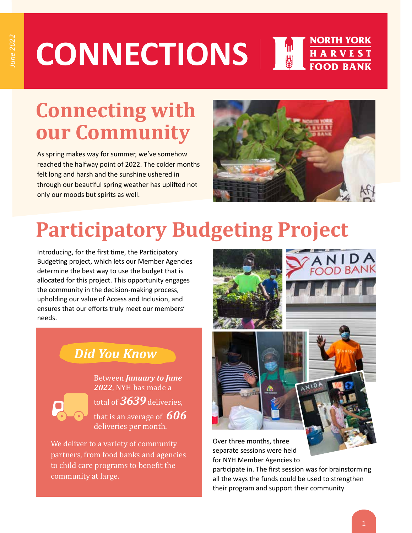#### NORTH YORK **CONNECTIONS** HARVEST<br>FOOD BANK

## **Connecting with our Community**

As spring makes way for summer, we've somehow reached the halfway point of 2022. The colder months felt long and harsh and the sunshine ushered in through our beautiful spring weather has uplifted not only our moods but spirits as well.



# **Participatory Budgeting Project**

Introducing, for the first time, the Participatory Budgeting project, which lets our Member Agencies determine the best way to use the budget that is allocated for this project. This opportunity engages the community in the decision-making process, upholding our value of Access and Inclusion, and ensures that our efforts truly meet our members' needs.

### *Did You Know*

Between *January to June 2022*, NYH has made a

total of *3639* deliveries, that is an average of *606* deliveries per month.

We deliver to a variety of community partners, from food banks and agencies to child care programs to benefit the community at large.







Over three months, three separate sessions were held for NYH Member Agencies to

participate in. The first session was for brainstorming all the ways the funds could be used to strengthen their program and support their community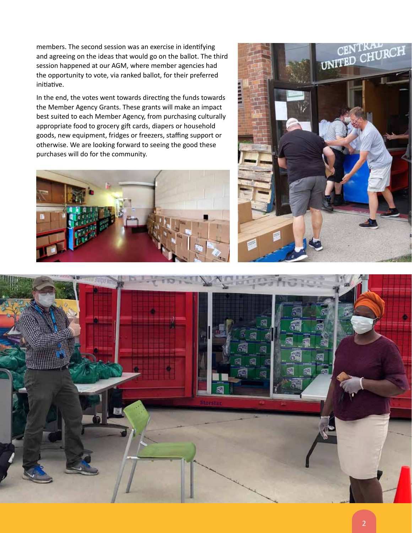members. The second session was an exercise in identifying and agreeing on the ideas that would go on the ballot. The third session happened at our AGM, where member agencies had the opportunity to vote, via ranked ballot, for their preferred initiative.

In the end, the votes went towards directing the funds towards the Member Agency Grants. These grants will make an impact best suited to each Member Agency, from purchasing culturally appropriate food to grocery gift cards, diapers or household goods, new equipment, fridges or freezers, staffing support or otherwise. We are looking forward to seeing the good these purchases will do for the community.





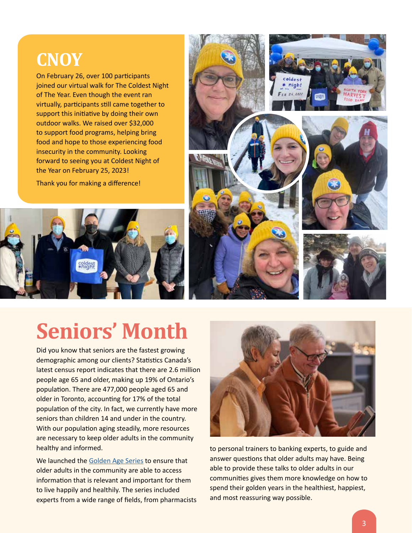### **CNOY**

On February 26, over 100 participants joined our virtual walk for The Coldest Night of The Year. Even though the event ran virtually, participants still came together to support this initiative by doing their own outdoor walks. We raised over \$32,000 to support food programs, helping bring food and hope to those experiencing food insecurity in the community. Looking forward to seeing you at Coldest Night of the Year on February 25, 2023!

Thank you for making a difference!





# **Seniors' Month**

Did you know that seniors are the fastest growing demographic among our clients? Statistics Canada's latest census report indicates that there are 2.6 million people age 65 and older, making up 19% of Ontario's population. There are 477,000 people aged 65 and older in Toronto, accounting for 17% of the total population of the city. In fact, we currently have more seniors than children 14 and under in the country. With our population aging steadily, more resources are necessary to keep older adults in the community healthy and informed.

We launched the Golden Age Series to ensure that older adults in the community are able to access information that is relevant and important for them to live happily and healthily. The series included experts from a wide range of fields, from pharmacists



to personal trainers to banking experts, to guide and answer questions that older adults may have. Being able to provide these talks to older adults in our communities gives them more knowledge on how to spend their golden years in the healthiest, happiest, and most reassuring way possible.